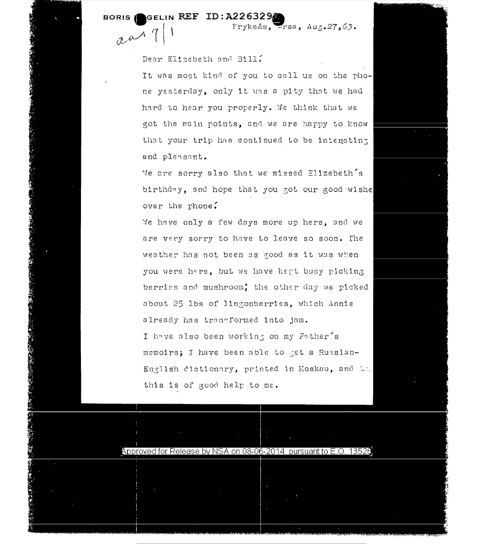## BORIS GELIN REF ID: A226329

 $x^{\mu}$ 

Fryksås, Ursa, Aug. 27, 63.

Dear Elizebeth and Bill?

It was most kind of you to call us on the phone yesterday, only it was a pity that we had hard to hear you properly. We think that we got the main points, and we are happy to know that your trip has continued to be intensting and pleasant.

We are sorry also that we missed Elizebeth's birthday, and hope that you got our good wishe over the phone.

Me have only a few days more up here, and we are very sorry to have to leave so soon. The weather has not been as good as it was when you were hare, but we have kept busy picking berries and mushroom; the other day we picked about 25 lbs of lingonberries, which Annie already has transformed into jam. I have also been working on my Father's memoirs; I have been able to get a Russian-English dictionary, printed in Moskau, and Un. this is of good help to me.



## Approved for Release by NSA on 08-06-2014 pursuant to E.O. 13526